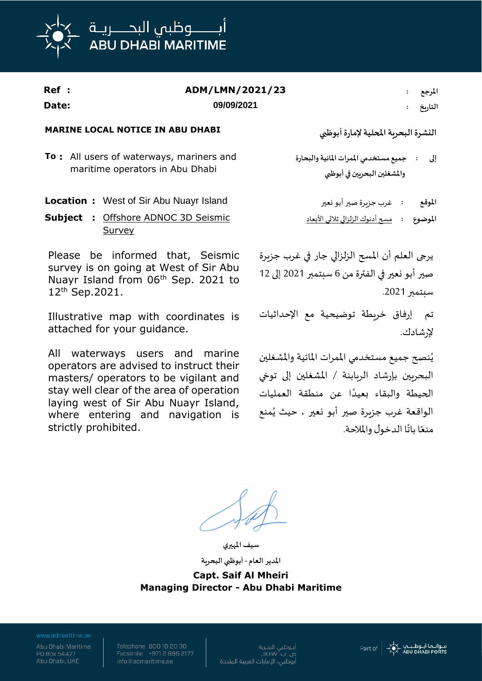

| Ref :<br>Date: | ADM/LMN/2021/23<br>09/09/2021                                                                                                                        | المرجع<br>التاريخ                                                                                               |
|----------------|------------------------------------------------------------------------------------------------------------------------------------------------------|-----------------------------------------------------------------------------------------------------------------|
|                | <b>MARINE LOCAL NOTICE IN ABU DHABI</b>                                                                                                              | النشرة البحربة المحلية لإمارة أبوظبي                                                                            |
|                | To: All users of waterways, mariners and<br>maritime operators in Abu Dhabi                                                                          | إلى : جميع مستخدمي الممرات المائية والبحارة<br>والمشغلين البحريين في أبوظبي                                     |
|                | <b>Location:</b> West of Sir Abu Nuayr Island<br><b>Subject : Offshore ADNOC 3D Seismic</b><br><u>Survey</u>                                         | الموقع<br>: غرب جزيرة صير أبو نعير<br>الموضوع                                                                   |
|                | Please be informed that, Seismic<br>survey is on going at West of Sir Abu<br>Nuayr Island from 06 <sup>th</sup> Sep. 2021 to<br>$12^{th}$ Sep. 2021. | يرجى العلم أن المسح الزلزالي جار في غرب جزبرة<br>صير أبو نعير في الفترة من 6 سبتمبر 2021 إلى 12<br>سبتمبر 2021. |
|                | Illustrative map with coordinates is<br>attached for your guidance.                                                                                  | تم إرفاق خريطة توضيحية مع الإحداثيات<br>لإرشادك.                                                                |
| All            | waterways users and<br>marine                                                                                                                        | وثنوه حورو وسرتخده بالمرات المائرة والشرفاون                                                                    |

operators are advised to instruct their masters/ operators to be vigilant and stay well clear of the area of operation laying west of Sir Abu Nuayr Island, where entering and navigation is strictly prohibited.

ُنصح جميع مستخدمي املمرات املائية واملشغلين ي البحريين بإرشاد الربابنة / املشغلين إلى توخي ًالحيطة والبقاء بعيدًا عن منطقة العمليات ُ الواقعة غرب جزيرة صير أبو نعير ، منع حيث ي منعًا باتًا الدخول والملاحة. ً

**سيف املهيري**

**املدير العام - أبوظبي البحرية Capt. Saif Al Mheiri Managing Director - Abu Dhabi Maritime**

PO Box 54477 Abu Dhabi, UAE Telephone 800 10 20 30<br>Facsimile +971 2 695 2177 info@admaritime.ae

أبــوظبي البحــرية<br>ص. ب. ٥٤٤٧٧, .<br>أبوظبي، الإمارات العربية المتحدة